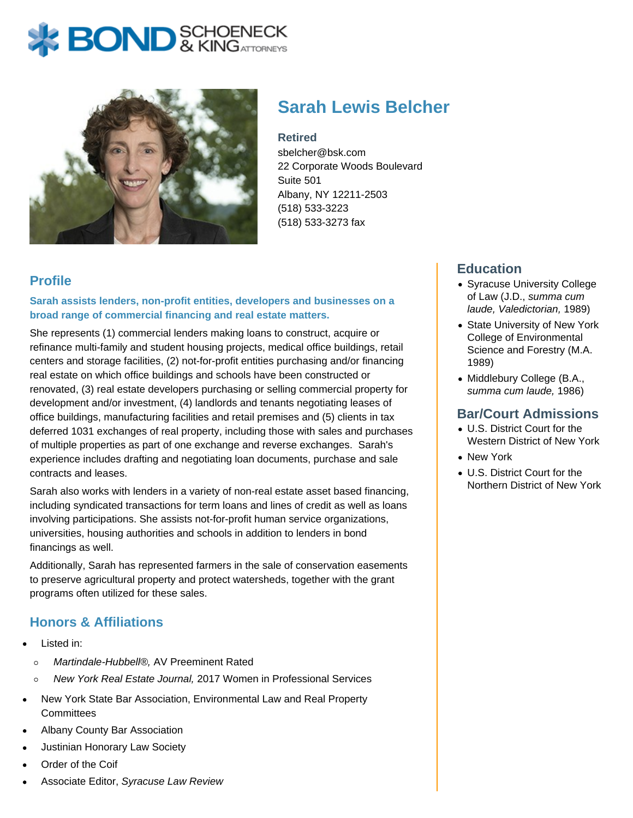



# **Sarah Lewis Belcher**

#### **Retired**

sbelcher@bsk.com 22 Corporate Woods Boulevard Suite 501 Albany, NY 12211-2503 (518) 533-3223 (518) 533-3273 fax

# **Profile**

**Sarah assists lenders, non-profit entities, developers and businesses on a broad range of commercial financing and real estate matters.**

She represents (1) commercial lenders making loans to construct, acquire or refinance multi-family and student housing projects, medical office buildings, retail centers and storage facilities, (2) not-for-profit entities purchasing and/or financing real estate on which office buildings and schools have been constructed or renovated, (3) real estate developers purchasing or selling commercial property for development and/or investment, (4) landlords and tenants negotiating leases of office buildings, manufacturing facilities and retail premises and (5) clients in tax deferred 1031 exchanges of real property, including those with sales and purchases of multiple properties as part of one exchange and reverse exchanges. Sarah's experience includes drafting and negotiating loan documents, purchase and sale contracts and leases.

Sarah also works with lenders in a variety of non-real estate asset based financing, including syndicated transactions for term loans and lines of credit as well as loans involving participations. She assists not-for-profit human service organizations, universities, housing authorities and schools in addition to lenders in bond financings as well.

Additionally, Sarah has represented farmers in the sale of conservation easements to preserve agricultural property and protect watersheds, together with the grant programs often utilized for these sales.

# **Honors & Affiliations**

- Listed in:
	- $\circ$ Martindale-Hubbell®, AV Preeminent Rated
- New York Real Estate Journal, 2017 Women in Professional Services  $\circ$
- New York State Bar Association, Environmental Law and Real Property **Committees**
- Albany County Bar Association
- Justinian Honorary Law Society
- Order of the Coif
- Associate Editor, Syracuse Law Review

#### **Education**

- Syracuse University College of Law (J.D., summa cum laude, Valedictorian, 1989)
- State University of New York College of Environmental Science and Forestry (M.A. 1989)
- Middlebury College (B.A., summa cum laude, 1986)

#### **Bar/Court Admissions**

- U.S. District Court for the Western District of New York
- New York
- U.S. District Court for the Northern District of New York